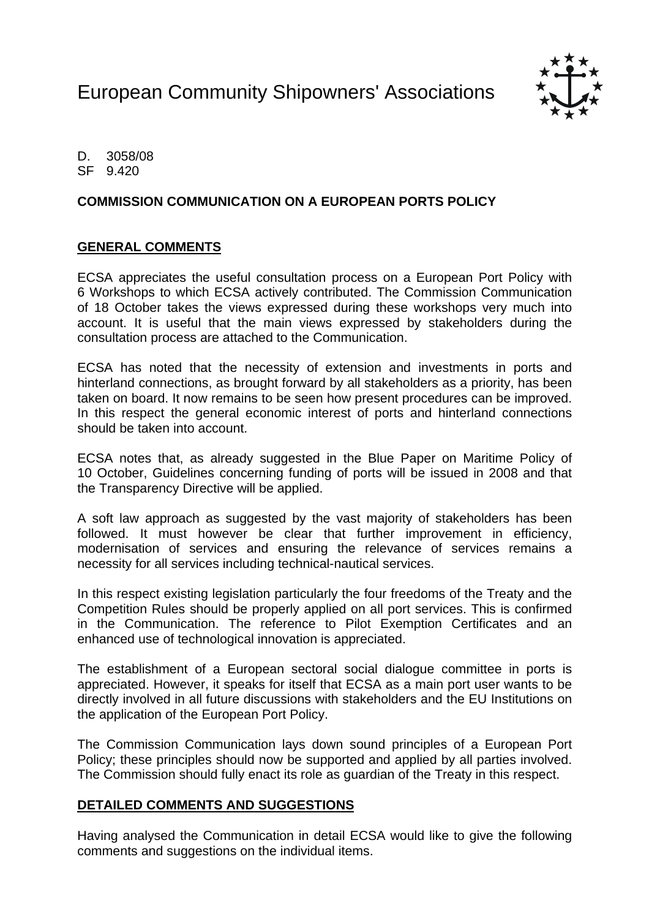European Community Shipowners' Associations



D. 3058/08 SF 9.420

### **COMMISSION COMMUNICATION ON A EUROPEAN PORTS POLICY**

#### **GENERAL COMMENTS**

ECSA appreciates the useful consultation process on a European Port Policy with 6 Workshops to which ECSA actively contributed. The Commission Communication of 18 October takes the views expressed during these workshops very much into account. It is useful that the main views expressed by stakeholders during the consultation process are attached to the Communication.

ECSA has noted that the necessity of extension and investments in ports and hinterland connections, as brought forward by all stakeholders as a priority, has been taken on board. It now remains to be seen how present procedures can be improved. In this respect the general economic interest of ports and hinterland connections should be taken into account.

ECSA notes that, as already suggested in the Blue Paper on Maritime Policy of 10 October, Guidelines concerning funding of ports will be issued in 2008 and that the Transparency Directive will be applied.

A soft law approach as suggested by the vast majority of stakeholders has been followed. It must however be clear that further improvement in efficiency, modernisation of services and ensuring the relevance of services remains a necessity for all services including technical-nautical services.

In this respect existing legislation particularly the four freedoms of the Treaty and the Competition Rules should be properly applied on all port services. This is confirmed in the Communication. The reference to Pilot Exemption Certificates and an enhanced use of technological innovation is appreciated.

The establishment of a European sectoral social dialogue committee in ports is appreciated. However, it speaks for itself that ECSA as a main port user wants to be directly involved in all future discussions with stakeholders and the EU Institutions on the application of the European Port Policy.

The Commission Communication lays down sound principles of a European Port Policy; these principles should now be supported and applied by all parties involved. The Commission should fully enact its role as guardian of the Treaty in this respect.

#### **DETAILED COMMENTS AND SUGGESTIONS**

Having analysed the Communication in detail ECSA would like to give the following comments and suggestions on the individual items.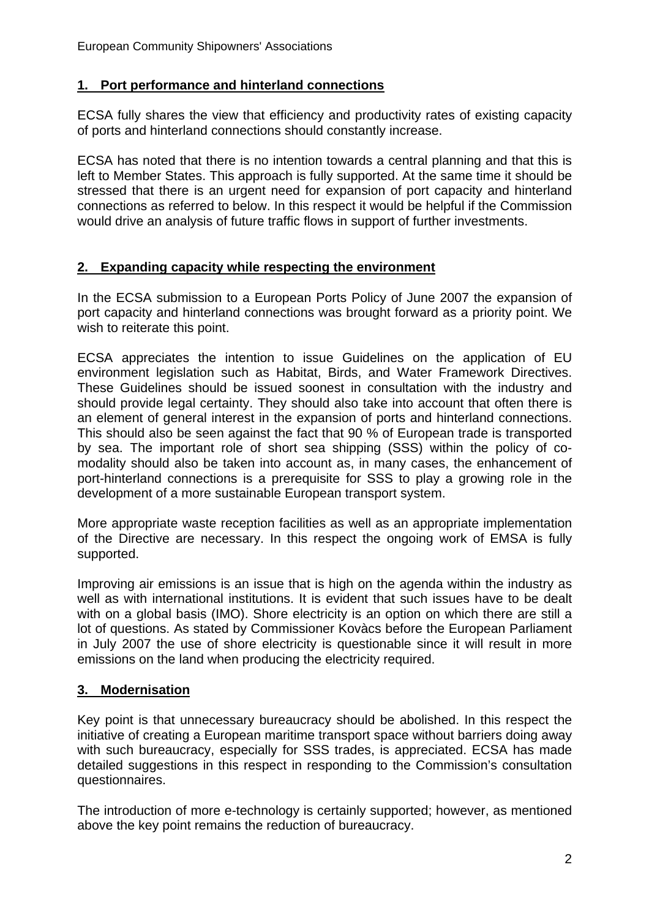# **1. Port performance and hinterland connections**

ECSA fully shares the view that efficiency and productivity rates of existing capacity of ports and hinterland connections should constantly increase.

ECSA has noted that there is no intention towards a central planning and that this is left to Member States. This approach is fully supported. At the same time it should be stressed that there is an urgent need for expansion of port capacity and hinterland connections as referred to below. In this respect it would be helpful if the Commission would drive an analysis of future traffic flows in support of further investments.

# **2. Expanding capacity while respecting the environment**

In the ECSA submission to a European Ports Policy of June 2007 the expansion of port capacity and hinterland connections was brought forward as a priority point. We wish to reiterate this point.

ECSA appreciates the intention to issue Guidelines on the application of EU environment legislation such as Habitat, Birds, and Water Framework Directives. These Guidelines should be issued soonest in consultation with the industry and should provide legal certainty. They should also take into account that often there is an element of general interest in the expansion of ports and hinterland connections. This should also be seen against the fact that 90 % of European trade is transported by sea. The important role of short sea shipping (SSS) within the policy of comodality should also be taken into account as, in many cases, the enhancement of port-hinterland connections is a prerequisite for SSS to play a growing role in the development of a more sustainable European transport system.

More appropriate waste reception facilities as well as an appropriate implementation of the Directive are necessary. In this respect the ongoing work of EMSA is fully supported.

Improving air emissions is an issue that is high on the agenda within the industry as well as with international institutions. It is evident that such issues have to be dealt with on a global basis (IMO). Shore electricity is an option on which there are still a lot of questions. As stated by Commissioner Kovàcs before the European Parliament in July 2007 the use of shore electricity is questionable since it will result in more emissions on the land when producing the electricity required.

# **3. Modernisation**

Key point is that unnecessary bureaucracy should be abolished. In this respect the initiative of creating a European maritime transport space without barriers doing away with such bureaucracy, especially for SSS trades, is appreciated. ECSA has made detailed suggestions in this respect in responding to the Commission's consultation questionnaires.

The introduction of more e-technology is certainly supported; however, as mentioned above the key point remains the reduction of bureaucracy.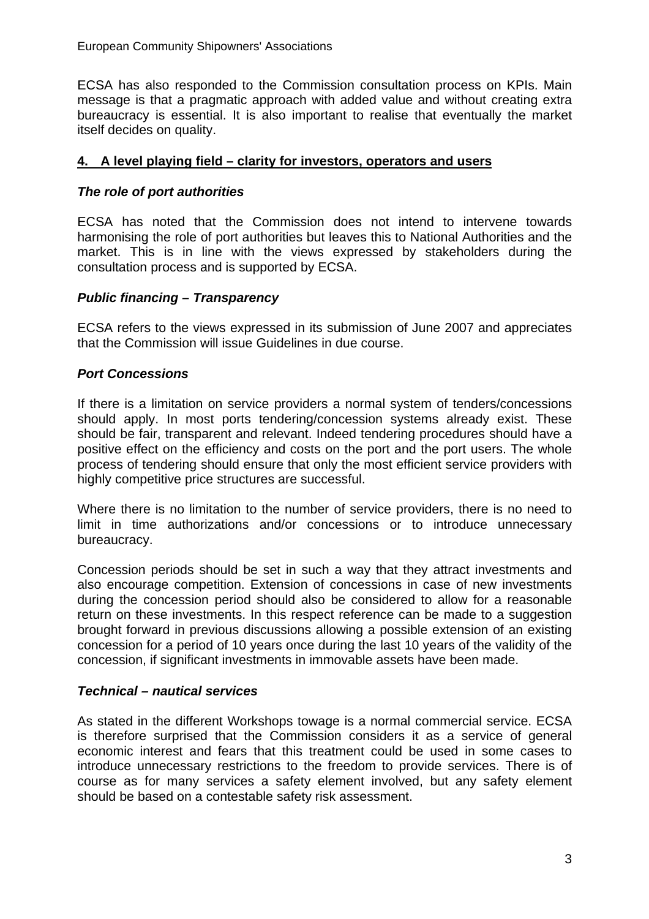ECSA has also responded to the Commission consultation process on KPIs. Main message is that a pragmatic approach with added value and without creating extra bureaucracy is essential. It is also important to realise that eventually the market itself decides on quality.

### **4. A level playing field – clarity for investors, operators and users**

### *The role of port authorities*

ECSA has noted that the Commission does not intend to intervene towards harmonising the role of port authorities but leaves this to National Authorities and the market. This is in line with the views expressed by stakeholders during the consultation process and is supported by ECSA.

#### *Public financing – Transparency*

ECSA refers to the views expressed in its submission of June 2007 and appreciates that the Commission will issue Guidelines in due course.

### *Port Concessions*

If there is a limitation on service providers a normal system of tenders/concessions should apply. In most ports tendering/concession systems already exist. These should be fair, transparent and relevant. Indeed tendering procedures should have a positive effect on the efficiency and costs on the port and the port users. The whole process of tendering should ensure that only the most efficient service providers with highly competitive price structures are successful.

Where there is no limitation to the number of service providers, there is no need to limit in time authorizations and/or concessions or to introduce unnecessary bureaucracy.

Concession periods should be set in such a way that they attract investments and also encourage competition. Extension of concessions in case of new investments during the concession period should also be considered to allow for a reasonable return on these investments. In this respect reference can be made to a suggestion brought forward in previous discussions allowing a possible extension of an existing concession for a period of 10 years once during the last 10 years of the validity of the concession, if significant investments in immovable assets have been made.

#### *Technical – nautical services*

As stated in the different Workshops towage is a normal commercial service. ECSA is therefore surprised that the Commission considers it as a service of general economic interest and fears that this treatment could be used in some cases to introduce unnecessary restrictions to the freedom to provide services. There is of course as for many services a safety element involved, but any safety element should be based on a contestable safety risk assessment.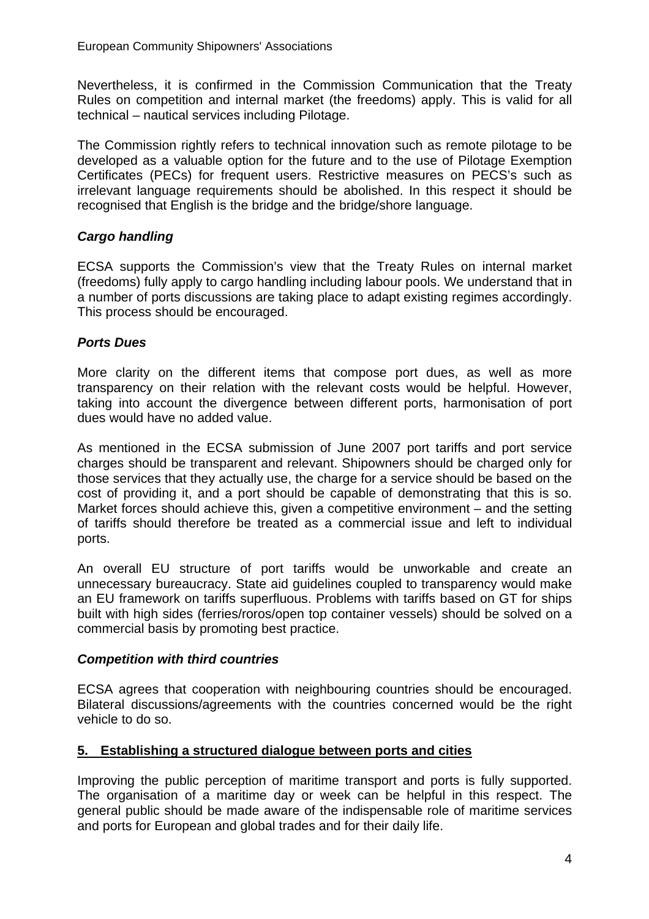Nevertheless, it is confirmed in the Commission Communication that the Treaty Rules on competition and internal market (the freedoms) apply. This is valid for all technical – nautical services including Pilotage.

The Commission rightly refers to technical innovation such as remote pilotage to be developed as a valuable option for the future and to the use of Pilotage Exemption Certificates (PECs) for frequent users. Restrictive measures on PECS's such as irrelevant language requirements should be abolished. In this respect it should be recognised that English is the bridge and the bridge/shore language.

# *Cargo handling*

ECSA supports the Commission's view that the Treaty Rules on internal market (freedoms) fully apply to cargo handling including labour pools. We understand that in a number of ports discussions are taking place to adapt existing regimes accordingly. This process should be encouraged.

# *Ports Dues*

More clarity on the different items that compose port dues, as well as more transparency on their relation with the relevant costs would be helpful. However, taking into account the divergence between different ports, harmonisation of port dues would have no added value.

As mentioned in the ECSA submission of June 2007 port tariffs and port service charges should be transparent and relevant. Shipowners should be charged only for those services that they actually use, the charge for a service should be based on the cost of providing it, and a port should be capable of demonstrating that this is so. Market forces should achieve this, given a competitive environment – and the setting of tariffs should therefore be treated as a commercial issue and left to individual ports.

An overall EU structure of port tariffs would be unworkable and create an unnecessary bureaucracy. State aid guidelines coupled to transparency would make an EU framework on tariffs superfluous. Problems with tariffs based on GT for ships built with high sides (ferries/roros/open top container vessels) should be solved on a commercial basis by promoting best practice.

# *Competition with third countries*

ECSA agrees that cooperation with neighbouring countries should be encouraged. Bilateral discussions/agreements with the countries concerned would be the right vehicle to do so.

# **5. Establishing a structured dialogue between ports and cities**

Improving the public perception of maritime transport and ports is fully supported. The organisation of a maritime day or week can be helpful in this respect. The general public should be made aware of the indispensable role of maritime services and ports for European and global trades and for their daily life.